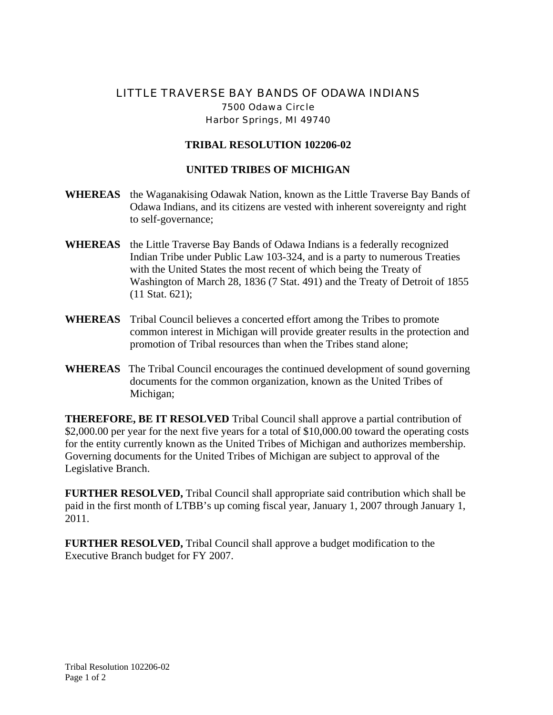## LITTLE TRAVERSE BAY BANDS OF ODAWA INDIANS 7500 Odawa Circle Harbor Springs, MI 49740

## **TRIBAL RESOLUTION 102206-02**

## **UNITED TRIBES OF MICHIGAN**

- **WHEREAS** the Waganakising Odawak Nation, known as the Little Traverse Bay Bands of Odawa Indians, and its citizens are vested with inherent sovereignty and right to self-governance;
- **WHEREAS** the Little Traverse Bay Bands of Odawa Indians is a federally recognized Indian Tribe under Public Law 103-324, and is a party to numerous Treaties with the United States the most recent of which being the Treaty of Washington of March 28, 1836 (7 Stat. 491) and the Treaty of Detroit of 1855 (11 Stat. 621);
- **WHEREAS** Tribal Council believes a concerted effort among the Tribes to promote common interest in Michigan will provide greater results in the protection and promotion of Tribal resources than when the Tribes stand alone;
- **WHEREAS** The Tribal Council encourages the continued development of sound governing documents for the common organization, known as the United Tribes of Michigan;

**THEREFORE, BE IT RESOLVED** Tribal Council shall approve a partial contribution of \$2,000.00 per year for the next five years for a total of \$10,000.00 toward the operating costs for the entity currently known as the United Tribes of Michigan and authorizes membership. Governing documents for the United Tribes of Michigan are subject to approval of the Legislative Branch.

**FURTHER RESOLVED,** Tribal Council shall appropriate said contribution which shall be paid in the first month of LTBB's up coming fiscal year, January 1, 2007 through January 1, 2011.

**FURTHER RESOLVED,** Tribal Council shall approve a budget modification to the Executive Branch budget for FY 2007.